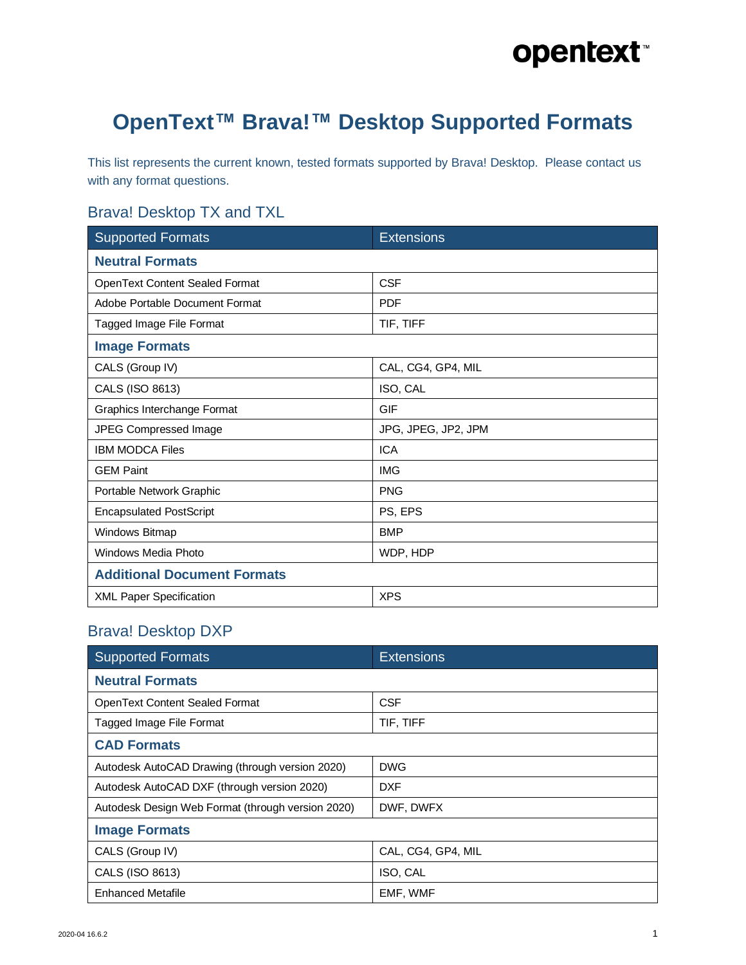#### **OpenText™ Brava!™ Desktop Supported Formats**

This list represents the current known, tested formats supported by Brava! Desktop. Please contact us with any format questions.

#### Brava! Desktop TX and TXL

| <b>Supported Formats</b>           | <b>Extensions</b>   |
|------------------------------------|---------------------|
| <b>Neutral Formats</b>             |                     |
| OpenText Content Sealed Format     | <b>CSF</b>          |
| Adobe Portable Document Format     | <b>PDF</b>          |
| Tagged Image File Format           | TIF, TIFF           |
| <b>Image Formats</b>               |                     |
| CALS (Group IV)                    | CAL, CG4, GP4, MIL  |
| CALS (ISO 8613)                    | ISO, CAL            |
| Graphics Interchange Format        | <b>GIF</b>          |
| JPEG Compressed Image              | JPG, JPEG, JP2, JPM |
| <b>IBM MODCA Files</b>             | <b>ICA</b>          |
| <b>GEM Paint</b>                   | <b>IMG</b>          |
| Portable Network Graphic           | <b>PNG</b>          |
| <b>Encapsulated PostScript</b>     | PS, EPS             |
| Windows Bitmap                     | <b>BMP</b>          |
| Windows Media Photo                | WDP, HDP            |
| <b>Additional Document Formats</b> |                     |
| <b>XML Paper Specification</b>     | <b>XPS</b>          |

#### Brava! Desktop DXP

| <b>Supported Formats</b>                          | <b>Extensions</b>  |
|---------------------------------------------------|--------------------|
| <b>Neutral Formats</b>                            |                    |
| <b>OpenText Content Sealed Format</b>             | <b>CSF</b>         |
| Tagged Image File Format                          | TIF, TIFF          |
| <b>CAD Formats</b>                                |                    |
| Autodesk AutoCAD Drawing (through version 2020)   | <b>DWG</b>         |
| Autodesk AutoCAD DXF (through version 2020)       | <b>DXF</b>         |
| Autodesk Design Web Format (through version 2020) | DWF, DWFX          |
| <b>Image Formats</b>                              |                    |
| CALS (Group IV)                                   | CAL, CG4, GP4, MIL |
| CALS (ISO 8613)                                   | ISO, CAL           |
| <b>Enhanced Metafile</b>                          | EMF, WMF           |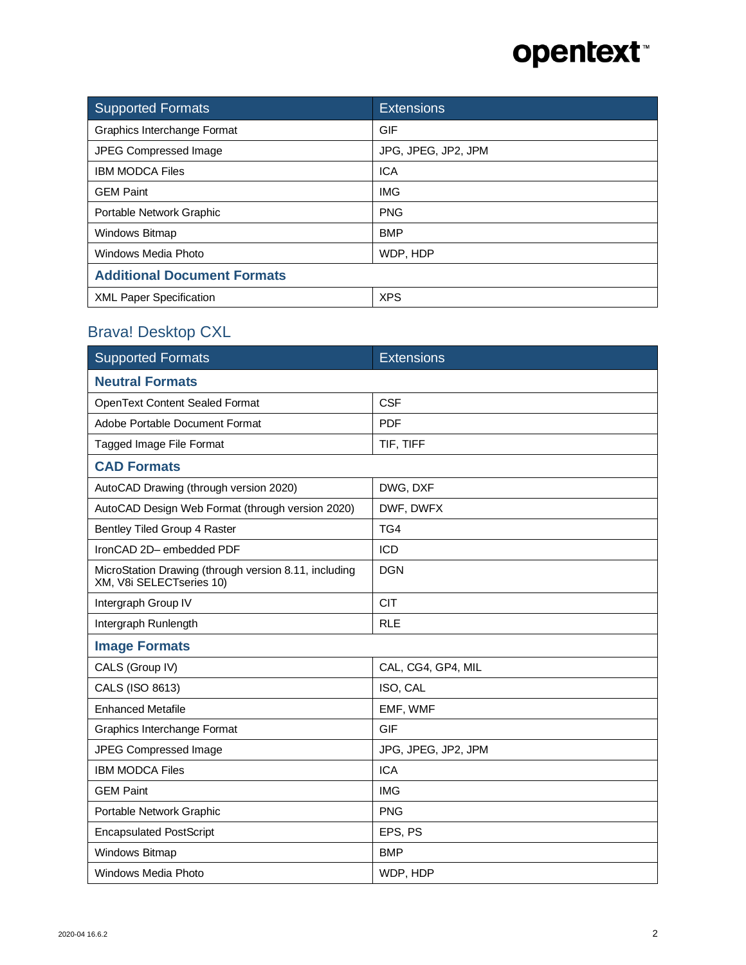| <b>Supported Formats</b>           | <b>Extensions</b>   |
|------------------------------------|---------------------|
| Graphics Interchange Format        | <b>GIF</b>          |
| JPEG Compressed Image              | JPG, JPEG, JP2, JPM |
| <b>IBM MODCA Files</b>             | <b>ICA</b>          |
| <b>GEM Paint</b>                   | <b>IMG</b>          |
| Portable Network Graphic           | <b>PNG</b>          |
| Windows Bitmap                     | <b>BMP</b>          |
| Windows Media Photo                | WDP, HDP            |
| <b>Additional Document Formats</b> |                     |
| <b>XML Paper Specification</b>     | <b>XPS</b>          |

#### Brava! Desktop CXL

| <b>Supported Formats</b>                                                          | <b>Extensions</b>   |
|-----------------------------------------------------------------------------------|---------------------|
| <b>Neutral Formats</b>                                                            |                     |
| <b>OpenText Content Sealed Format</b>                                             | <b>CSF</b>          |
| Adobe Portable Document Format                                                    | <b>PDF</b>          |
| Tagged Image File Format                                                          | TIF, TIFF           |
| <b>CAD Formats</b>                                                                |                     |
| AutoCAD Drawing (through version 2020)                                            | DWG, DXF            |
| AutoCAD Design Web Format (through version 2020)                                  | DWF, DWFX           |
| Bentley Tiled Group 4 Raster                                                      | TG4                 |
| IronCAD 2D-embedded PDF                                                           | <b>ICD</b>          |
| MicroStation Drawing (through version 8.11, including<br>XM, V8i SELECTseries 10) | <b>DGN</b>          |
| Intergraph Group IV                                                               | <b>CIT</b>          |
| Intergraph Runlength                                                              | <b>RLE</b>          |
| <b>Image Formats</b>                                                              |                     |
| CALS (Group IV)                                                                   | CAL, CG4, GP4, MIL  |
| CALS (ISO 8613)                                                                   | ISO, CAL            |
| <b>Enhanced Metafile</b>                                                          | EMF, WMF            |
| Graphics Interchange Format                                                       | <b>GIF</b>          |
| <b>JPEG Compressed Image</b>                                                      | JPG, JPEG, JP2, JPM |
| <b>IBM MODCA Files</b>                                                            | <b>ICA</b>          |
| <b>GEM Paint</b>                                                                  | <b>IMG</b>          |
| Portable Network Graphic                                                          | <b>PNG</b>          |
| <b>Encapsulated PostScript</b>                                                    | EPS, PS             |
| Windows Bitmap                                                                    | <b>BMP</b>          |
| Windows Media Photo                                                               | WDP, HDP            |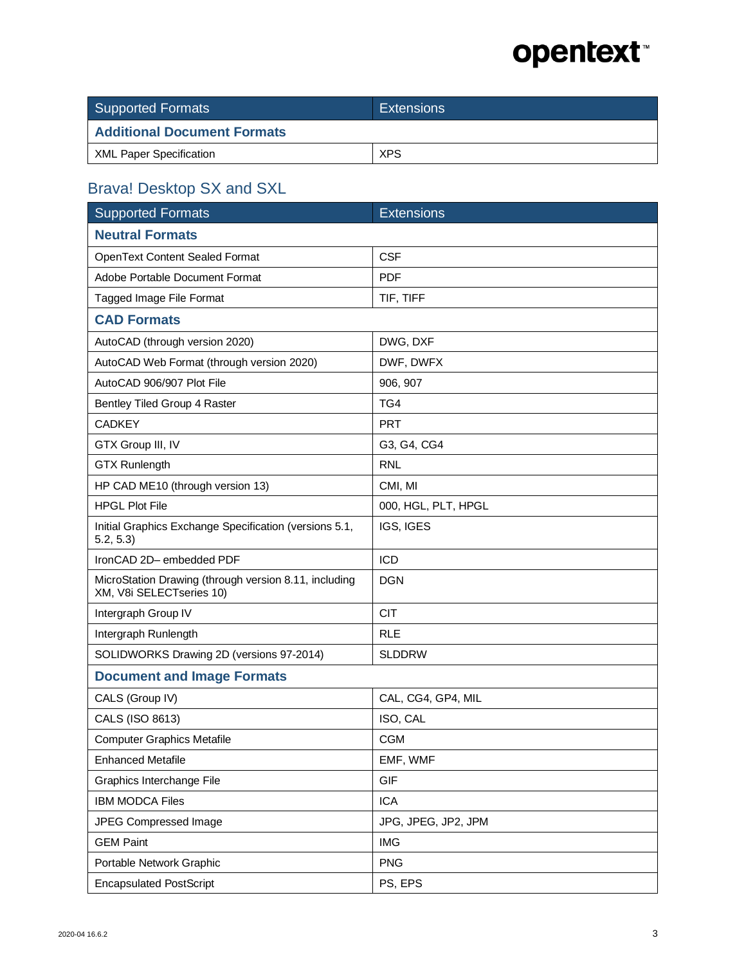| <b>Supported Formats</b>           | <b>Extensions</b> |
|------------------------------------|-------------------|
| <b>Additional Document Formats</b> |                   |
| <b>XML Paper Specification</b>     | <b>XPS</b>        |

#### Brava! Desktop SX and SXL

| <b>Supported Formats</b>                                                          | <b>Extensions</b>   |
|-----------------------------------------------------------------------------------|---------------------|
| <b>Neutral Formats</b>                                                            |                     |
| OpenText Content Sealed Format                                                    | <b>CSF</b>          |
| Adobe Portable Document Format                                                    | <b>PDF</b>          |
| Tagged Image File Format                                                          | TIF, TIFF           |
| <b>CAD Formats</b>                                                                |                     |
| AutoCAD (through version 2020)                                                    | DWG, DXF            |
| AutoCAD Web Format (through version 2020)                                         | DWF, DWFX           |
| AutoCAD 906/907 Plot File                                                         | 906, 907            |
| Bentley Tiled Group 4 Raster                                                      | TG4                 |
| <b>CADKEY</b>                                                                     | <b>PRT</b>          |
| GTX Group III, IV                                                                 | G3, G4, CG4         |
| <b>GTX Runlength</b>                                                              | <b>RNL</b>          |
| HP CAD ME10 (through version 13)                                                  | CMI, MI             |
| <b>HPGL Plot File</b>                                                             | 000, HGL, PLT, HPGL |
| Initial Graphics Exchange Specification (versions 5.1,<br>5.2, 5.3                | IGS, IGES           |
| IronCAD 2D-embedded PDF                                                           | <b>ICD</b>          |
| MicroStation Drawing (through version 8.11, including<br>XM, V8i SELECTseries 10) | <b>DGN</b>          |
| Intergraph Group IV                                                               | <b>CIT</b>          |
| Intergraph Runlength                                                              | <b>RLE</b>          |
| SOLIDWORKS Drawing 2D (versions 97-2014)                                          | <b>SLDDRW</b>       |
| <b>Document and Image Formats</b>                                                 |                     |
| CALS (Group IV)                                                                   | CAL, CG4, GP4, MIL  |
| CALS (ISO 8613)                                                                   | ISO, CAL            |
| <b>Computer Graphics Metafile</b>                                                 | <b>CGM</b>          |
| <b>Enhanced Metafile</b>                                                          | EMF, WMF            |
| Graphics Interchange File                                                         | <b>GIF</b>          |
| <b>IBM MODCA Files</b>                                                            | <b>ICA</b>          |
| JPEG Compressed Image                                                             | JPG, JPEG, JP2, JPM |
| <b>GEM Paint</b>                                                                  | <b>IMG</b>          |
| Portable Network Graphic                                                          | <b>PNG</b>          |
| <b>Encapsulated PostScript</b>                                                    | PS, EPS             |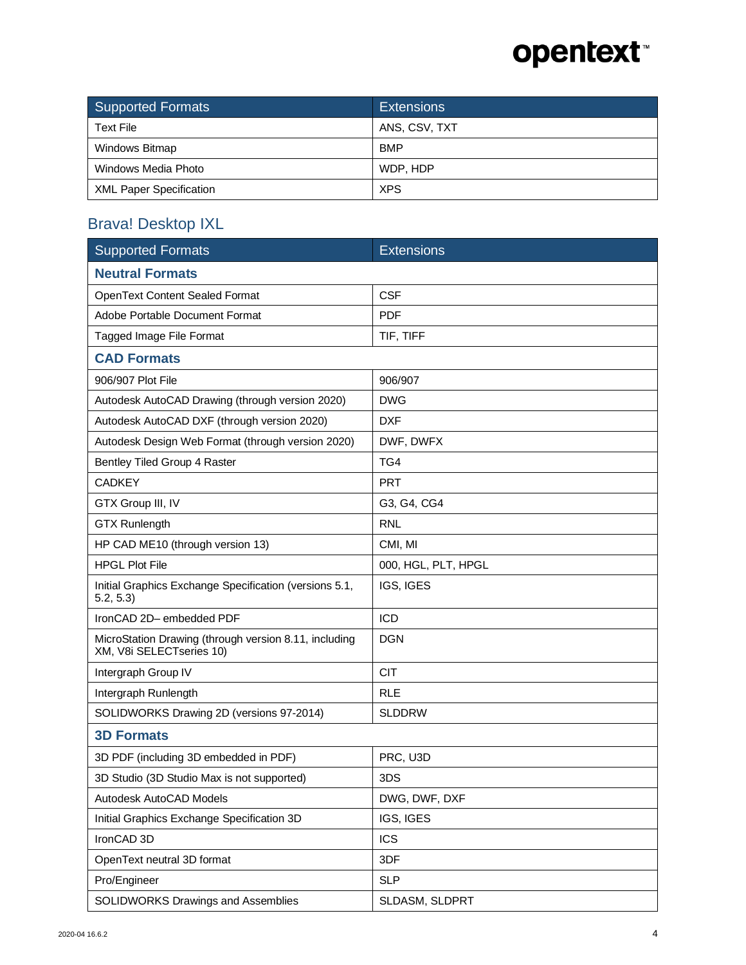| Supported Formats              | <b>Extensions</b> |
|--------------------------------|-------------------|
| <b>Text File</b>               | ANS, CSV, TXT     |
| Windows Bitmap                 | <b>BMP</b>        |
| Windows Media Photo            | WDP, HDP          |
| <b>XML Paper Specification</b> | <b>XPS</b>        |

#### Brava! Desktop IXL

| <b>Supported Formats</b>                                                          | <b>Extensions</b>   |
|-----------------------------------------------------------------------------------|---------------------|
| <b>Neutral Formats</b>                                                            |                     |
| <b>OpenText Content Sealed Format</b>                                             | <b>CSF</b>          |
| Adobe Portable Document Format                                                    | <b>PDF</b>          |
| Tagged Image File Format                                                          | TIF, TIFF           |
| <b>CAD Formats</b>                                                                |                     |
| 906/907 Plot File                                                                 | 906/907             |
| Autodesk AutoCAD Drawing (through version 2020)                                   | <b>DWG</b>          |
| Autodesk AutoCAD DXF (through version 2020)                                       | <b>DXF</b>          |
| Autodesk Design Web Format (through version 2020)                                 | DWF, DWFX           |
| Bentley Tiled Group 4 Raster                                                      | TG4                 |
| <b>CADKEY</b>                                                                     | <b>PRT</b>          |
| GTX Group III, IV                                                                 | G3, G4, CG4         |
| <b>GTX Runlength</b>                                                              | <b>RNL</b>          |
| HP CAD ME10 (through version 13)                                                  | CMI, MI             |
| <b>HPGL Plot File</b>                                                             | 000, HGL, PLT, HPGL |
| Initial Graphics Exchange Specification (versions 5.1,<br>5.2, 5.3                | IGS, IGES           |
| IronCAD 2D-embedded PDF                                                           | <b>ICD</b>          |
| MicroStation Drawing (through version 8.11, including<br>XM, V8i SELECTseries 10) | <b>DGN</b>          |
| Intergraph Group IV                                                               | <b>CIT</b>          |
| Intergraph Runlength                                                              | <b>RLE</b>          |
| SOLIDWORKS Drawing 2D (versions 97-2014)                                          | <b>SLDDRW</b>       |
| <b>3D Formats</b>                                                                 |                     |
| 3D PDF (including 3D embedded in PDF)                                             | PRC, U3D            |
| 3D Studio (3D Studio Max is not supported)                                        | 3DS                 |
| Autodesk AutoCAD Models                                                           | DWG, DWF, DXF       |
| Initial Graphics Exchange Specification 3D                                        | IGS, IGES           |
| IronCAD 3D                                                                        | <b>ICS</b>          |
| OpenText neutral 3D format                                                        | 3DF                 |
| Pro/Engineer                                                                      | <b>SLP</b>          |
| SOLIDWORKS Drawings and Assemblies                                                | SLDASM, SLDPRT      |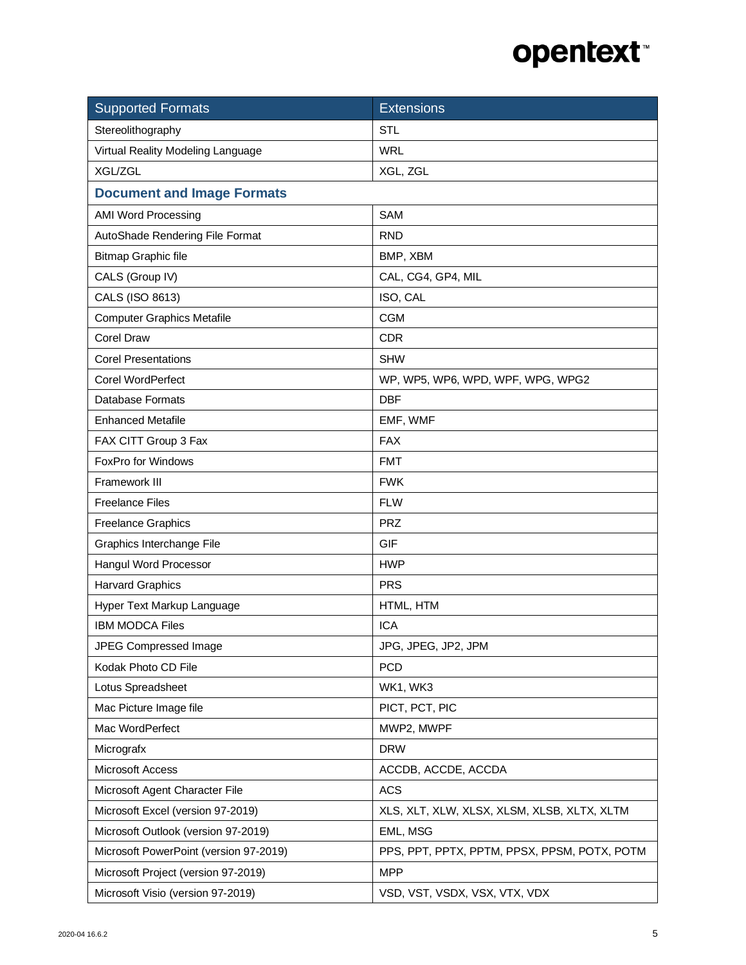| <b>Supported Formats</b>               | <b>Extensions</b>                            |
|----------------------------------------|----------------------------------------------|
| Stereolithography                      | <b>STL</b>                                   |
| Virtual Reality Modeling Language      | <b>WRL</b>                                   |
| XGL/ZGL                                | XGL, ZGL                                     |
| <b>Document and Image Formats</b>      |                                              |
| <b>AMI Word Processing</b>             | <b>SAM</b>                                   |
| AutoShade Rendering File Format        | <b>RND</b>                                   |
| <b>Bitmap Graphic file</b>             | BMP, XBM                                     |
| CALS (Group IV)                        | CAL, CG4, GP4, MIL                           |
| CALS (ISO 8613)                        | ISO, CAL                                     |
| <b>Computer Graphics Metafile</b>      | <b>CGM</b>                                   |
| <b>Corel Draw</b>                      | <b>CDR</b>                                   |
| <b>Corel Presentations</b>             | <b>SHW</b>                                   |
| <b>Corel WordPerfect</b>               | WP, WP5, WP6, WPD, WPF, WPG, WPG2            |
| <b>Database Formats</b>                | <b>DBF</b>                                   |
| <b>Enhanced Metafile</b>               | EMF, WMF                                     |
| FAX CITT Group 3 Fax                   | <b>FAX</b>                                   |
| FoxPro for Windows                     | <b>FMT</b>                                   |
| Framework III                          | <b>FWK</b>                                   |
| <b>Freelance Files</b>                 | <b>FLW</b>                                   |
| <b>Freelance Graphics</b>              | <b>PRZ</b>                                   |
| Graphics Interchange File              | GIF                                          |
| Hangul Word Processor                  | <b>HWP</b>                                   |
| <b>Harvard Graphics</b>                | <b>PRS</b>                                   |
| Hyper Text Markup Language             | HTML, HTM                                    |
| <b>IBM MODCA Files</b>                 | <b>ICA</b>                                   |
| <b>JPEG Compressed Image</b>           | JPG, JPEG, JP2, JPM                          |
| Kodak Photo CD File                    | <b>PCD</b>                                   |
| Lotus Spreadsheet                      | WK1, WK3                                     |
| Mac Picture Image file                 | PICT, PCT, PIC                               |
| Mac WordPerfect                        | MWP2, MWPF                                   |
| Micrografx                             | <b>DRW</b>                                   |
| Microsoft Access                       | ACCDB, ACCDE, ACCDA                          |
| Microsoft Agent Character File         | <b>ACS</b>                                   |
| Microsoft Excel (version 97-2019)      | XLS, XLT, XLW, XLSX, XLSM, XLSB, XLTX, XLTM  |
| Microsoft Outlook (version 97-2019)    | EML, MSG                                     |
| Microsoft PowerPoint (version 97-2019) | PPS, PPT, PPTX, PPTM, PPSX, PPSM, POTX, POTM |
| Microsoft Project (version 97-2019)    | <b>MPP</b>                                   |
| Microsoft Visio (version 97-2019)      | VSD, VST, VSDX, VSX, VTX, VDX                |